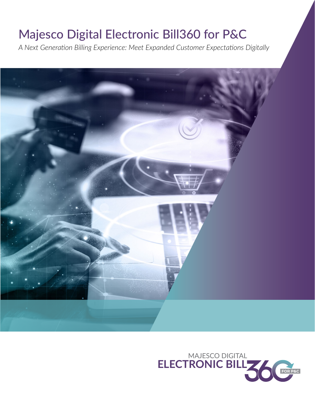# Majesco Digital Electronic Bill360 for P&C

*A Next Generation Billing Experience: Meet Expanded Customer Expectations Digitally*



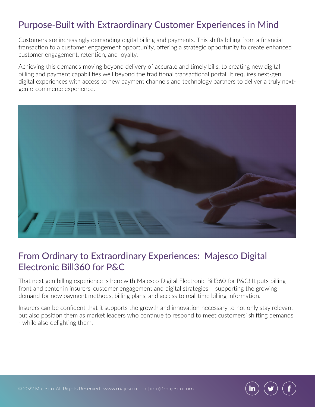# Purpose-Built with Extraordinary Customer Experiences in Mind

Customers are increasingly demanding digital billing and payments. This shifts billing from a financial transaction to a customer engagement opportunity, offering a strategic opportunity to create enhanced customer engagement, retention, and loyalty.

Achieving this demands moving beyond delivery of accurate and timely bills, to creating new digital billing and payment capabilities well beyond the traditional transactional portal. It requires next-gen digital experiences with access to new payment channels and technology partners to deliver a truly nextgen e-commerce experience.



## From Ordinary to Extraordinary Experiences: Majesco Digital Electronic Bill360 for P&C

That next gen billing experience is here with Majesco Digital Electronic Bill360 for P&C! It puts billing front and center in insurers' customer engagement and digital strategies – supporting the growing demand for new payment methods, billing plans, and access to real-time billing information.

Insurers can be confident that it supports the growth and innovation necessary to not only stay relevant but also position them as market leaders who continue to respond to meet customers' shifting demands - while also delighting them.

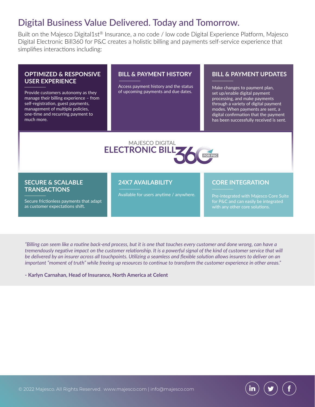## Digital Business Value Delivered. Today and Tomorrow.

Built on the Majesco Digital1st® Insurance, a no code / low code Digital Experience Platform, Majesco Digital Electronic Bill360 for P&C creates a holistic billing and payments self-service experience that simplifies interactions including:

#### **OPTIMIZED & RESPONSIVE USER EXPERIENCE**

Provide customers autonomy as they manage their billing experience – from self-registration, guest payments, management of multiple policies, one-time and recurring payment to much more.

#### **BILL & PAYMENT HISTORY**

Access payment history and the status of upcoming payments and due dates.

#### **BILL & PAYMENT UPDATES**

Make changes to payment plan, set up/enable digital payment processing, and make payments through a variety of digital payment modes. When payments are sent, a digital confirmation that the payment has been successfully received is sent.



#### **SECURE & SCALABLE TRANSACTIONS**

Secure frictionless payments that adapt as customer expectations shift.

#### **24X7 AVAILABILITY**

Available for users anytime / anywhere.

#### **CORE INTEGRATION**

Pre-integrated with Majesco Core Suite for P&C and can easily be integrated with any other core solutions.

*"Billing can seem like a routine back-end process, but it is one that touches every customer and done wrong, can have a tremendously negative impact on the customer relationship. It is a powerful signal of the kind of customer service that will be delivered by an insurer across all touchpoints. Utilizing a seamless and flexible solution allows insurers to deliver on an important "moment of truth" while freeing up resources to continue to transform the customer experience in other areas."*

**- Karlyn Carnahan, Head of Insurance, North America at Celent**